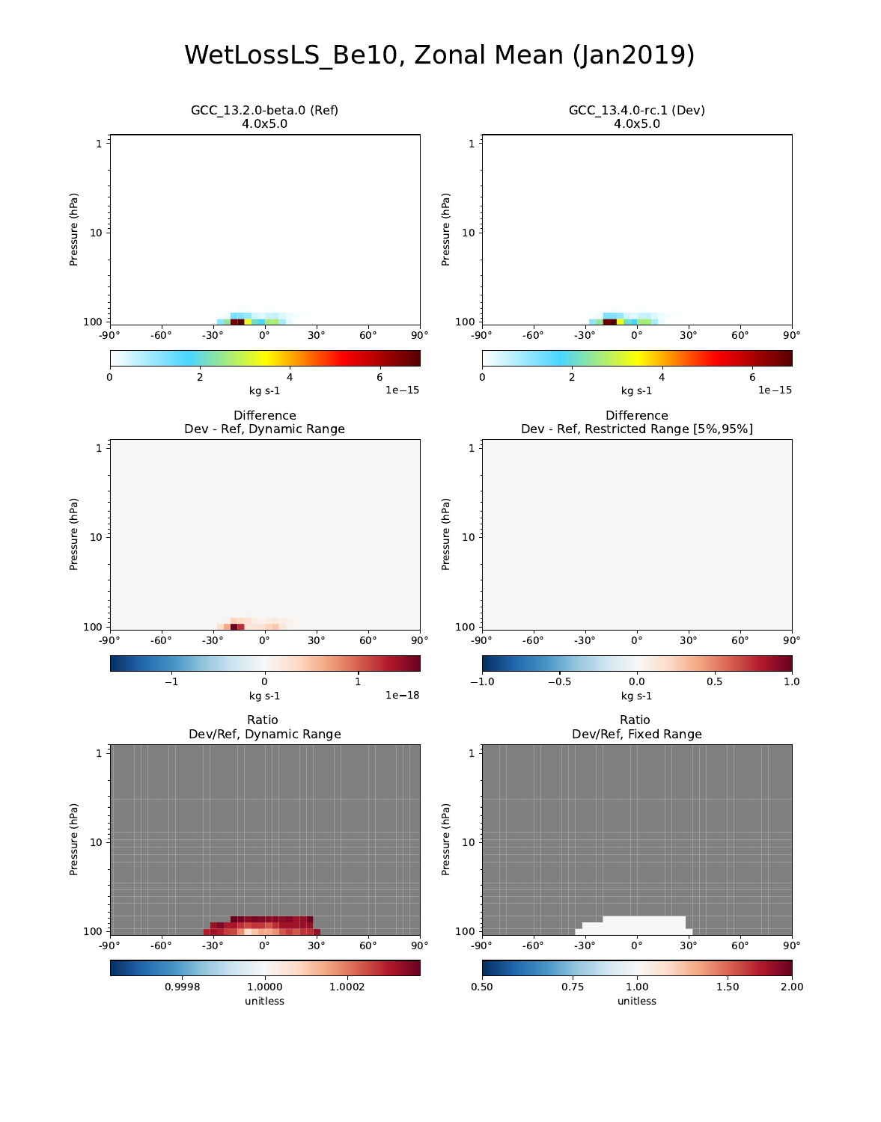# WetLossLS\_Be10, Zonal Mean (Jan2019)

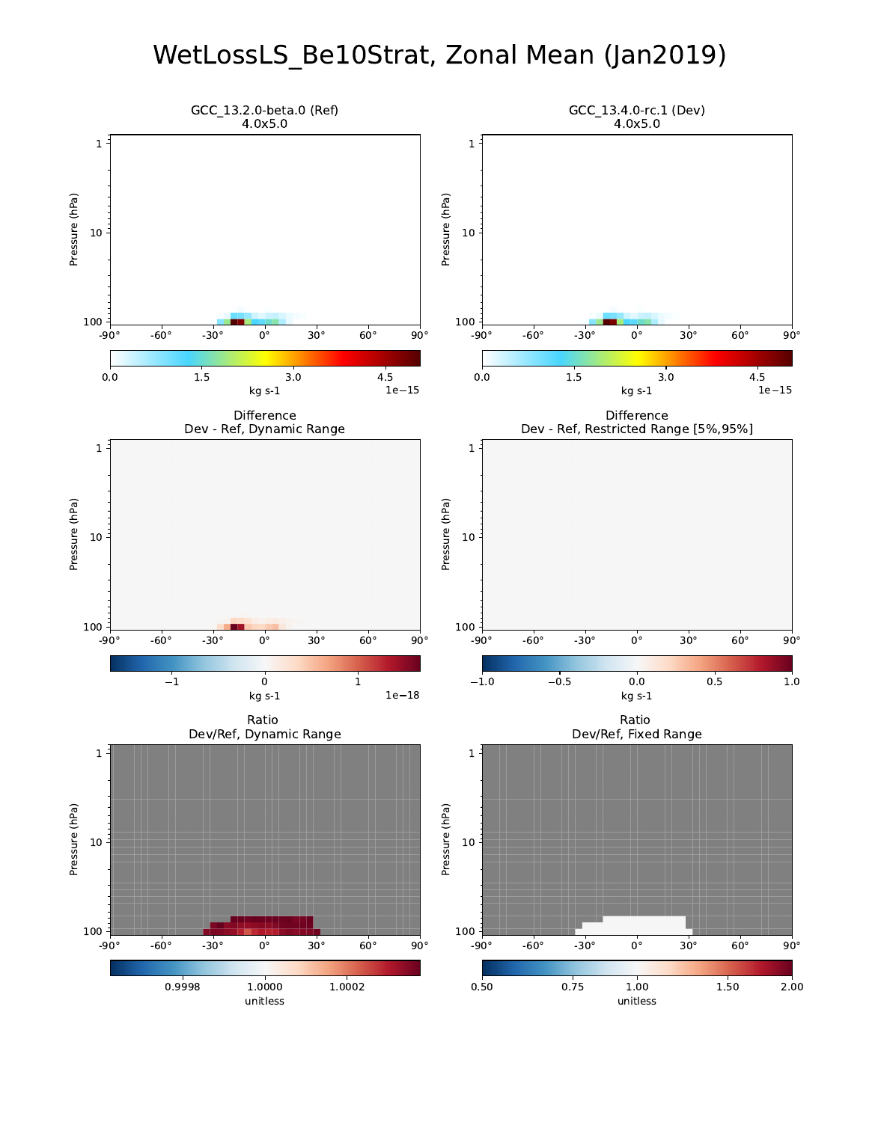### WetLossLS\_Be10Strat, Zonal Mean (Jan2019)

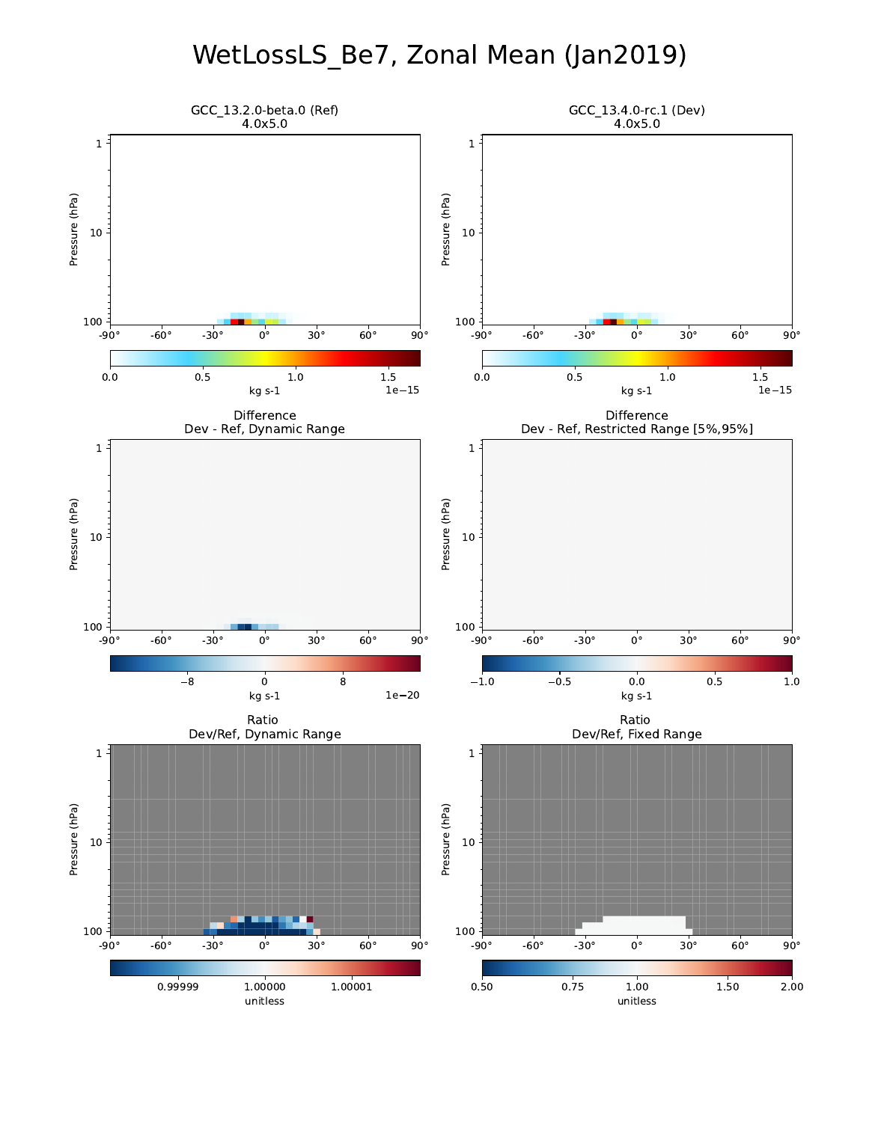# WetLossLS\_Be7, Zonal Mean (Jan2019)

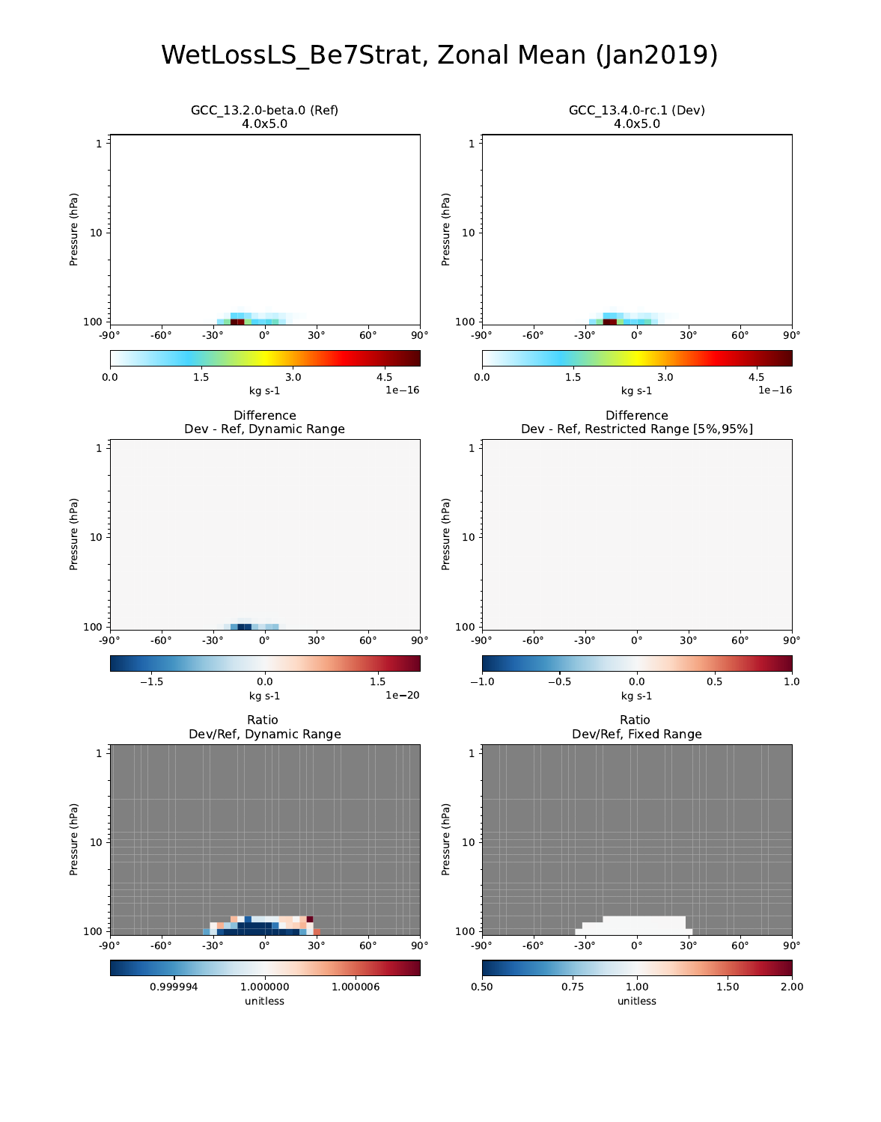### WetLossLS\_Be7Strat, Zonal Mean (Jan2019)

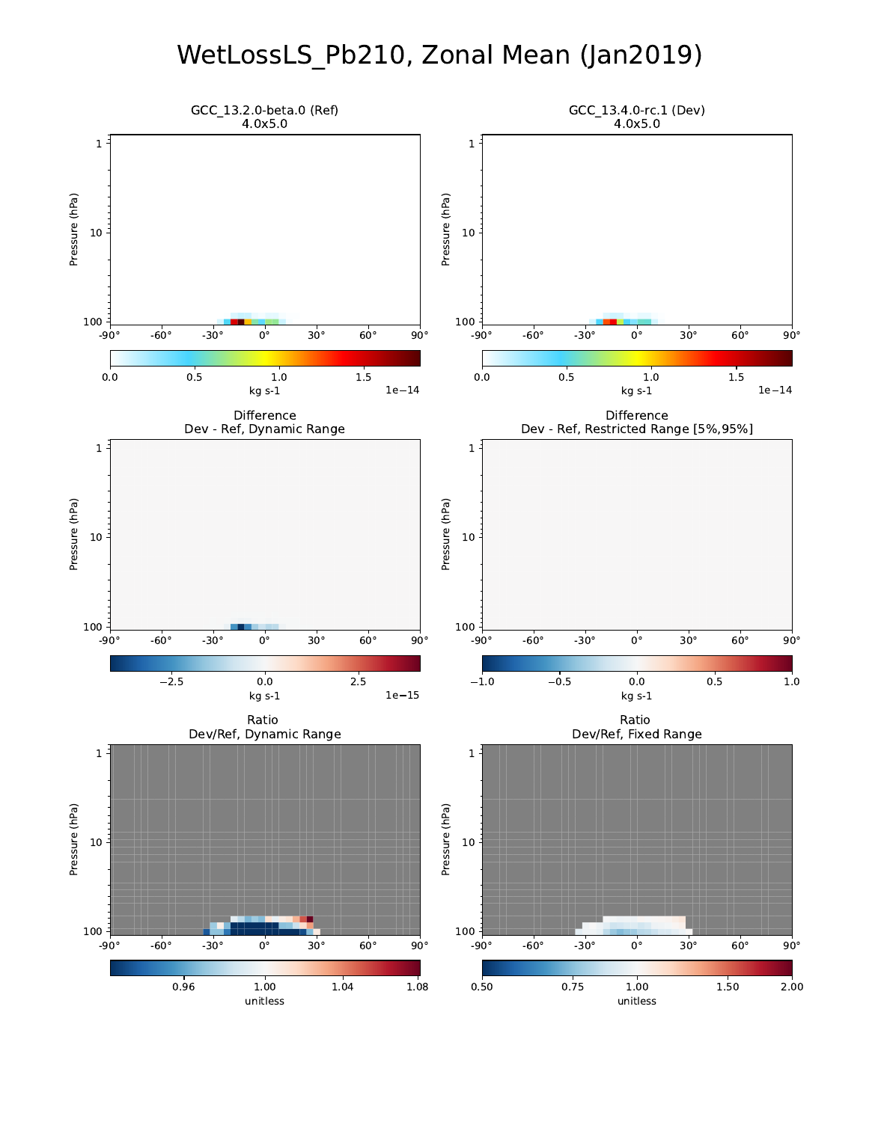### WetLossLS\_Pb210, Zonal Mean (Jan2019)